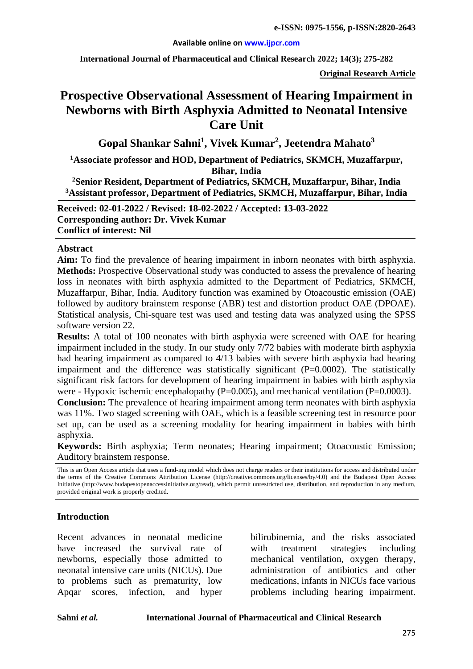#### **Available online on [www.ijpcr.com](http://www.ijpcr.com/)**

**International Journal of Pharmaceutical and Clinical Research 2022; 14(3); 275-282**

**Original Research Article**

# **Prospective Observational Assessment of Hearing Impairment in Newborns with Birth Asphyxia Admitted to Neonatal Intensive Care Unit**

**Gopal Shankar Sahni1 , Vivek Kumar2 , Jeetendra Mahato3**

**1 Associate professor and HOD, Department of Pediatrics, SKMCH, Muzaffarpur, Bihar, India**

**2Senior Resident, Department of Pediatrics, SKMCH, Muzaffarpur, Bihar, India 3 Assistant professor, Department of Pediatrics, SKMCH, Muzaffarpur, Bihar, India**

**Received: 02-01-2022 / Revised: 18-02-2022 / Accepted: 13-03-2022 Corresponding author: Dr. Vivek Kumar Conflict of interest: Nil**

#### **Abstract**

**Aim:** To find the prevalence of hearing impairment in inborn neonates with birth asphyxia. **Methods:** Prospective Observational study was conducted to assess the prevalence of hearing loss in neonates with birth asphyxia admitted to the Department of Pediatrics, SKMCH, Muzaffarpur, Bihar, India. Auditory function was examined by Otoacoustic emission (OAE) followed by auditory brainstem response (ABR) test and distortion product OAE (DPOAE). Statistical analysis, Chi-square test was used and testing data was analyzed using the SPSS software version 22.

**Results:** A total of 100 neonates with birth asphyxia were screened with OAE for hearing impairment included in the study. In our study only 7/72 babies with moderate birth asphyxia had hearing impairment as compared to 4/13 babies with severe birth asphyxia had hearing impairment and the difference was statistically significant  $(P=0.0002)$ . The statistically significant risk factors for development of hearing impairment in babies with birth asphyxia were - Hypoxic ischemic encephalopathy ( $P=0.005$ ), and mechanical ventilation ( $P=0.0003$ ).

**Conclusion:** The prevalence of hearing impairment among term neonates with birth asphyxia was 11%. Two staged screening with OAE, which is a feasible screening test in resource poor set up, can be used as a screening modality for hearing impairment in babies with birth asphyxia.

**Keywords:** Birth asphyxia; Term neonates; Hearing impairment; Otoacoustic Emission; Auditory brainstem response.

This is an Open Access article that uses a fund-ing model which does not charge readers or their institutions for access and distributed under the terms of the Creative Commons Attribution License (http://creativecommons.org/licenses/by/4.0) and the Budapest Open Access Initiative (http://www.budapestopenaccessinitiative.org/read), which permit unrestricted use, distribution, and reproduction in any medium, provided original work is properly credited.

#### **Introduction**

Recent advances in neonatal medicine have increased the survival rate of newborns, especially those admitted to neonatal intensive care units (NICUs). Due to problems such as prematurity, low Apqar scores, infection, and hyper bilirubinemia, and the risks associated with treatment strategies including mechanical ventilation, oxygen therapy, administration of antibiotics and other medications, infants in NICUs face various problems including hearing impairment.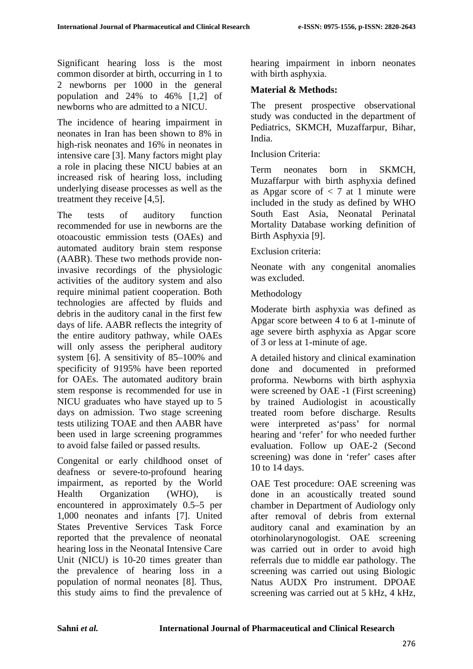Significant hearing loss is the most common disorder at birth, occurring in 1 to 2 newborns per 1000 in the general population and 24% to 46% [1,2] of newborns who are admitted to a NICU.

The incidence of hearing impairment in neonates in Iran has been shown to 8% in high-risk neonates and 16% in neonates in intensive care [3]. Many factors might play a role in placing these NICU babies at an increased risk of hearing loss, including underlying disease processes as well as the treatment they receive [4,5].

The tests of auditory function recommended for use in newborns are the otoacoustic emmission tests (OAEs) and automated auditory brain stem response (AABR). These two methods provide noninvasive recordings of the physiologic activities of the auditory system and also require minimal patient cooperation. Both technologies are affected by fluids and debris in the auditory canal in the first few days of life. AABR reflects the integrity of the entire auditory pathway, while OAEs will only assess the peripheral auditory system [6]. A sensitivity of 85–100% and specificity of 9195% have been reported for OAEs. The automated auditory brain stem response is recommended for use in NICU graduates who have stayed up to 5 days on admission. Two stage screening tests utilizing TOAE and then AABR have been used in large screening programmes to avoid false failed or passed results.

Congenital or early childhood onset of deafness or severe-to-profound hearing impairment, as reported by the World Health Organization (WHO), is encountered in approximately 0.5–5 per 1,000 neonates and infants [7]. United States Preventive Services Task Force reported that the prevalence of neonatal hearing loss in the Neonatal Intensive Care Unit (NICU) is 10-20 times greater than the prevalence of hearing loss in a population of normal neonates [8]. Thus, this study aims to find the prevalence of hearing impairment in inborn neonates with birth asphyxia.

## **Material & Methods:**

The present prospective observational study was conducted in the department of Pediatrics, SKMCH, Muzaffarpur, Bihar, India.

#### Inclusion Criteria:

Term neonates born in SKMCH, Muzaffarpur with birth asphyxia defined as Apgar score of  $\langle 7 \rangle$  at 1 minute were included in the study as defined by WHO South East Asia, Neonatal Perinatal Mortality Database working definition of Birth Asphyxia [9].

#### Exclusion criteria:

Neonate with any congenital anomalies was excluded.

## Methodology

Moderate birth asphyxia was defined as Apgar score between 4 to 6 at 1-minute of age severe birth asphyxia as Apgar score of 3 or less at 1-minute of age.

A detailed history and clinical examination done and documented in preformed proforma. Newborns with birth asphyxia were screened by OAE -1 (First screening) by trained Audiologist in acoustically treated room before discharge. Results were interpreted as'pass' for normal hearing and 'refer' for who needed further evaluation. Follow up OAE-2 (Second screening) was done in 'refer' cases after 10 to 14 days.

OAE Test procedure: OAE screening was done in an acoustically treated sound chamber in Department of Audiology only after removal of debris from external auditory canal and examination by an otorhinolarynogologist. OAE screening was carried out in order to avoid high referrals due to middle ear pathology. The screening was carried out using Biologic Natus AUDX Pro instrument. DPOAE screening was carried out at 5 kHz, 4 kHz,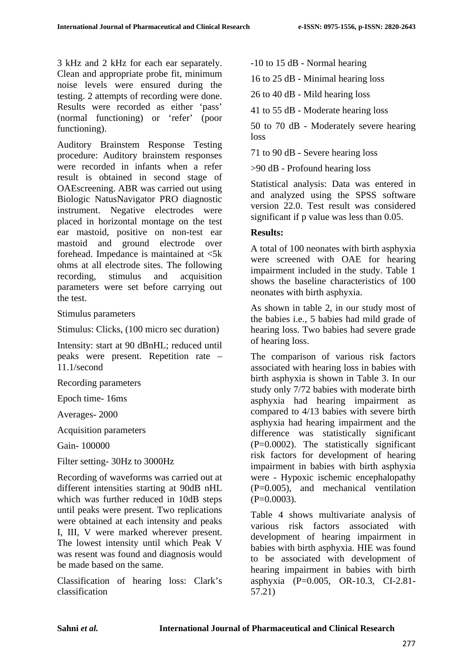3 kHz and 2 kHz for each ear separately. Clean and appropriate probe fit, minimum noise levels were ensured during the testing. 2 attempts of recording were done. Results were recorded as either 'pass' (normal functioning) or 'refer' (poor functioning).

Auditory Brainstem Response Testing procedure: Auditory brainstem responses were recorded in infants when a refer result is obtained in second stage of OAEscreening. ABR was carried out using Biologic NatusNavigator PRO diagnostic instrument. Negative electrodes were placed in horizontal montage on the test ear mastoid, positive on non-test ear mastoid and ground electrode over forehead. Impedance is maintained at  $\langle 5k \rangle$ ohms at all electrode sites. The following recording, stimulus and acquisition parameters were set before carrying out the test.

Stimulus parameters

Stimulus: Clicks, (100 micro sec duration)

Intensity: start at 90 dBnHL; reduced until peaks were present. Repetition rate – 11.1/second

Recording parameters

Epoch time- 16ms

Averages- 2000

Acquisition parameters

Gain- 100000

Filter setting- 30Hz to 3000Hz

Recording of waveforms was carried out at different intensities starting at 90dB nHL which was further reduced in 10dB steps until peaks were present. Two replications were obtained at each intensity and peaks I, III, V were marked wherever present. The lowest intensity until which Peak V was resent was found and diagnosis would be made based on the same.

Classification of hearing loss: Clark's classification

-10 to 15 dB - Normal hearing

16 to 25 dB - Minimal hearing loss

26 to 40 dB - Mild hearing loss

41 to 55 dB - Moderate hearing loss

50 to 70 dB - Moderately severe hearing loss

71 to 90 dB - Severe hearing loss

>90 dB - Profound hearing loss

Statistical analysis: Data was entered in and analyzed using the SPSS software version 22.0. Test result was considered significant if p value was less than 0.05.

## **Results:**

A total of 100 neonates with birth asphyxia were screened with OAE for hearing impairment included in the study. Table 1 shows the baseline characteristics of 100 neonates with birth asphyxia.

As shown in table 2, in our study most of the babies i.e., 5 babies had mild grade of hearing loss. Two babies had severe grade of hearing loss.

The comparison of various risk factors associated with hearing loss in babies with birth asphyxia is shown in Table 3. In our study only 7/72 babies with moderate birth asphyxia had hearing impairment as compared to 4/13 babies with severe birth asphyxia had hearing impairment and the difference was statistically significant (P=0.0002). The statistically significant risk factors for development of hearing impairment in babies with birth asphyxia were - Hypoxic ischemic encephalopathy (P=0.005), and mechanical ventilation  $(P=0.0003)$ .

Table 4 shows multivariate analysis of various risk factors associated with development of hearing impairment in babies with birth asphyxia. HIE was found to be associated with development of hearing impairment in babies with birth asphyxia (P=0.005, OR-10.3, CI-2.81- 57.21)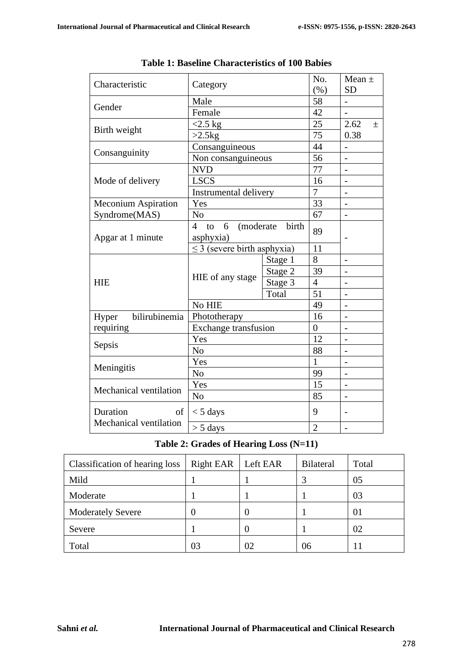| Characteristic             | Category                               | No.<br>(% ) | Mean $\pm$<br><b>SD</b>  |                          |
|----------------------------|----------------------------------------|-------------|--------------------------|--------------------------|
|                            | Male                                   | 58          |                          |                          |
| Gender                     | Female                                 |             | 42                       |                          |
|                            | $<$ 2.5 kg                             |             | 25                       | 2.62<br>$\pm$            |
| Birth weight               | $>2.5$                                 | 75          | 0.38                     |                          |
|                            | Consanguineous                         | 44          |                          |                          |
| Consanguinity              | Non consanguineous                     |             | 56                       | $\overline{\phantom{a}}$ |
|                            | <b>NVD</b>                             |             | 77                       |                          |
| Mode of delivery           | <b>LSCS</b>                            |             | 16                       | $\overline{\phantom{0}}$ |
|                            | Instrumental delivery                  |             | $\overline{7}$           | $\blacksquare$           |
| <b>Meconium Aspiration</b> | Yes                                    | 33          |                          |                          |
| Syndrome(MAS)              | N <sub>o</sub>                         | 67          | $\overline{\phantom{0}}$ |                          |
|                            | (moderate<br>$\overline{4}$<br>to<br>6 | birth       | 89                       |                          |
| Apgar at 1 minute          | asphyxia)                              |             |                          |                          |
|                            | $\leq$ 3 (severe birth asphyxia)       |             | 11                       |                          |
|                            |                                        | Stage 1     | 8                        |                          |
|                            | HIE of any stage                       | Stage 2     | 39                       |                          |
| <b>HIE</b>                 |                                        | Stage 3     | $\overline{4}$           |                          |
|                            |                                        | Total       | 51                       |                          |
|                            | No HIE                                 |             | 49                       |                          |
| bilirubinemia<br>Hyper     | Phototherapy                           | 16          | $\overline{\phantom{0}}$ |                          |
| requiring                  | Exchange transfusion                   |             |                          |                          |
| Sepsis                     | Yes                                    |             | 12                       |                          |
|                            | N <sub>o</sub>                         |             | 88                       |                          |
| Meningitis                 | Yes                                    |             | 1                        |                          |
|                            | N <sub>o</sub>                         |             | 99                       |                          |
| Mechanical ventilation     | Yes                                    |             | 15                       | $\overline{\phantom{0}}$ |
|                            | N <sub>o</sub>                         |             | 85                       |                          |
| Duration<br>$\sigma$       | $<$ 5 days                             | 9           |                          |                          |
| Mechanical ventilation     | $> 5$ days                             |             | $\overline{2}$           | $\qquad \qquad -$        |

**Table 1: Baseline Characteristics of 100 Babies**

# **Table 2: Grades of Hearing Loss (N=11)**

| Classification of hearing loss | Right EAR   Left EAR |    | <b>Bilateral</b> | Total |
|--------------------------------|----------------------|----|------------------|-------|
| Mild                           |                      |    |                  | 05    |
| Moderate                       |                      |    |                  | 03    |
| <b>Moderately Severe</b>       |                      |    |                  | 01    |
| Severe                         |                      |    |                  | 02    |
| Total                          | 03                   | 02 | 06               |       |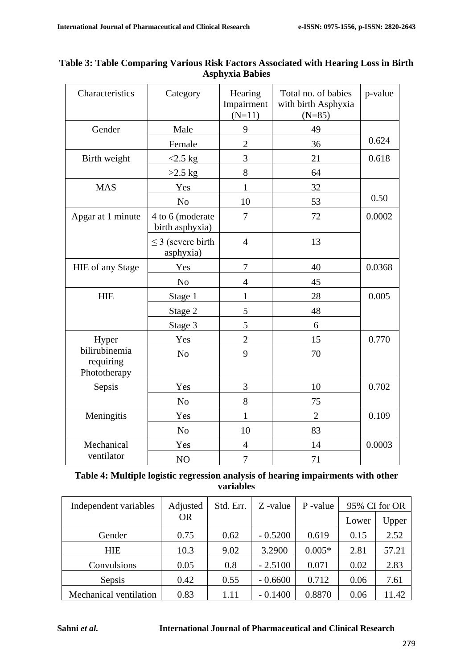| Characteristics                            | Category                            | Hearing<br>Impairment<br>$(N=11)$ | Total no. of babies<br>with birth Asphyxia<br>$(N=85)$ | p-value |
|--------------------------------------------|-------------------------------------|-----------------------------------|--------------------------------------------------------|---------|
| Gender                                     | Male                                | 9                                 | 49                                                     |         |
|                                            | Female                              | $\overline{2}$                    | 36                                                     | 0.624   |
| Birth weight                               | $<2.5$ kg                           | $\overline{3}$                    | 21                                                     | 0.618   |
|                                            | $>2.5$ kg                           | 8                                 | 64                                                     |         |
| <b>MAS</b>                                 | Yes                                 | $\mathbf{1}$                      | 32                                                     |         |
|                                            | N <sub>o</sub>                      | 10                                | 53                                                     | 0.50    |
| Apgar at 1 minute                          | 4 to 6 (moderate<br>birth asphyxia) | 7                                 | 72                                                     | 0.0002  |
|                                            | $\leq$ 3 (severe birth<br>asphyxia) | $\overline{4}$                    | 13                                                     |         |
| HIE of any Stage                           | Yes                                 | $\overline{7}$                    | 40                                                     | 0.0368  |
|                                            | N <sub>o</sub>                      | $\overline{4}$                    | 45                                                     |         |
| <b>HIE</b>                                 | Stage 1                             | $\mathbf{1}$                      | 28                                                     | 0.005   |
|                                            | Stage 2                             | 5                                 | 48                                                     |         |
|                                            | Stage 3                             | 5                                 | 6                                                      |         |
| Hyper                                      | Yes                                 | $\overline{c}$                    | 15                                                     | 0.770   |
| bilirubinemia<br>requiring<br>Phototherapy | N <sub>o</sub>                      | 9                                 | 70                                                     |         |
| Sepsis                                     | Yes                                 | 3                                 | 10                                                     | 0.702   |
|                                            | N <sub>o</sub>                      | 8                                 | 75                                                     |         |
| Meningitis                                 | Yes                                 | $\mathbf{1}$                      | $\overline{2}$                                         | 0.109   |
|                                            | No                                  | 10                                | 83                                                     |         |
| Mechanical                                 | Yes                                 | $\overline{4}$                    | 14                                                     | 0.0003  |
| ventilator                                 | NO                                  | 7                                 | 71                                                     |         |

# **Table 3: Table Comparing Various Risk Factors Associated with Hearing Loss in Birth Asphyxia Babies**

| Table 4: Multiple logistic regression analysis of hearing impairments with other |
|----------------------------------------------------------------------------------|
| variables                                                                        |

| Independent variables  | Adjusted  | Std. Err. | Z-value   | P-value  | 95% CI for OR |       |
|------------------------|-----------|-----------|-----------|----------|---------------|-------|
|                        | <b>OR</b> |           |           |          | Lower         | Upper |
| Gender                 | 0.75      | 0.62      | $-0.5200$ | 0.619    | 0.15          | 2.52  |
| <b>HIE</b>             | 10.3      | 9.02      | 3.2900    | $0.005*$ | 2.81          | 57.21 |
| Convulsions            | 0.05      | 0.8       | $-2.5100$ | 0.071    | 0.02          | 2.83  |
| Sepsis                 | 0.42      | 0.55      | $-0.6600$ | 0.712    | 0.06          | 7.61  |
| Mechanical ventilation | 0.83      | 1.11      | $-0.1400$ | 0.8870   | 0.06          | 11.42 |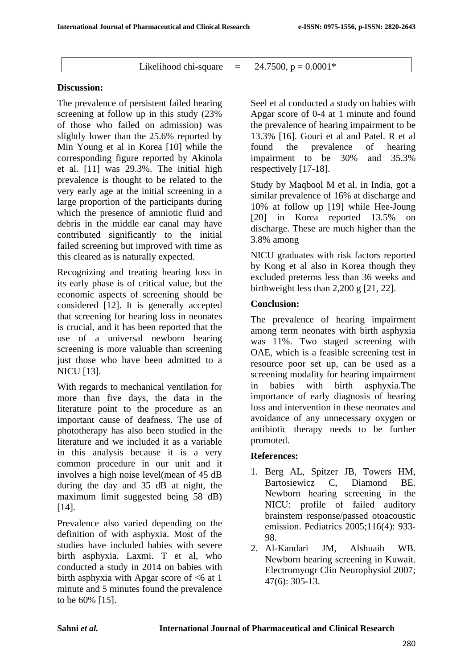# Likelihood chi-square  $= 24.7500$ ,  $p = 0.0001$ <sup>\*</sup>

## **Discussion:**

The prevalence of persistent failed hearing screening at follow up in this study (23% of those who failed on admission) was slightly lower than the 25.6% reported by Min Young et al in Korea [10] while the corresponding figure reported by Akinola et al. [11] was 29.3%. The initial high prevalence is thought to be related to the very early age at the initial screening in a large proportion of the participants during which the presence of amniotic fluid and debris in the middle ear canal may have contributed significantly to the initial failed screening but improved with time as this cleared as is naturally expected.

Recognizing and treating hearing loss in its early phase is of critical value, but the economic aspects of screening should be considered [12]. It is generally accepted that screening for hearing loss in neonates is crucial, and it has been reported that the use of a universal newborn hearing screening is more valuable than screening just those who have been admitted to a NICU [13].

With regards to mechanical ventilation for more than five days, the data in the literature point to the procedure as an important cause of deafness. The use of phototherapy has also been studied in the literature and we included it as a variable in this analysis because it is a very common procedure in our unit and it involves a high noise level(mean of 45 dB during the day and 35 dB at night, the maximum limit suggested being 58 dB) [14].

Prevalence also varied depending on the definition of with asphyxia. Most of the studies have included babies with severe birth asphyxia. Laxmi. T et al, who conducted a study in 2014 on babies with birth asphyxia with Apgar score of  $\leq 6$  at 1 minute and 5 minutes found the prevalence to be 60% [15].

Seel et al conducted a study on babies with Apgar score of 0-4 at 1 minute and found the prevalence of hearing impairment to be 13.3% [16]. Gouri et al and Patel. R et al found the prevalence of hearing impairment to be 30% and 35.3% respectively [17-18].

Study by Maqbool M et al. in India, got a similar prevalence of 16% at discharge and 10% at follow up [19] while Hee-Joung [20] in Korea reported 13.5% on discharge. These are much higher than the 3.8% among

NICU graduates with risk factors reported by Kong et al also in Korea though they excluded preterms less than 36 weeks and birthweight less than 2,200 g [21, 22].

# **Conclusion:**

The prevalence of hearing impairment among term neonates with birth asphyxia was 11%. Two staged screening with OAE, which is a feasible screening test in resource poor set up, can be used as a screening modality for hearing impairment in babies with birth asphyxia.The importance of early diagnosis of hearing loss and intervention in these neonates and avoidance of any unnecessary oxygen or antibiotic therapy needs to be further promoted.

## **References:**

- 1. Berg AL, Spitzer JB, Towers HM, Bartosiewicz C, Diamond BE. Newborn hearing screening in the NICU: profile of failed auditory brainstem response/passed otoacoustic emission. Pediatrics 2005;116(4): 933- 98.
- 2. Al-Kandari JM, Alshuaib WB. Newborn hearing screening in Kuwait. Electromyogr Clin Neurophysiol 2007; 47(6): 305-13.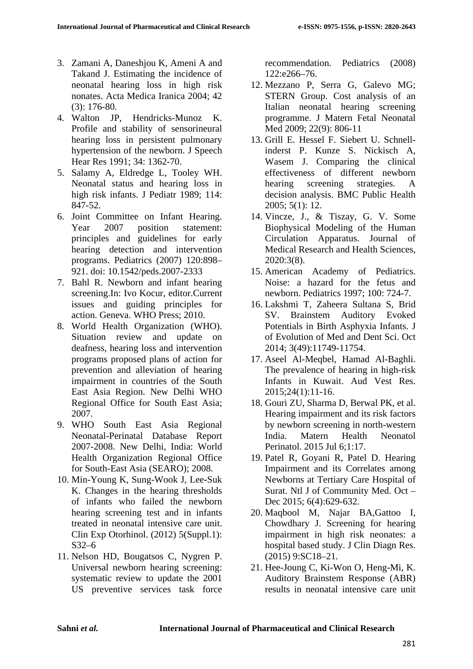- 3. Zamani A, Daneshjou K, Ameni A and Takand J. Estimating the incidence of neonatal hearing loss in high risk nonates. Acta Medica Iranica 2004; 42 (3): 176-80.
- 4. Walton JP, Hendricks-Munoz K. Profile and stability of sensorineural hearing loss in persistent pulmonary hypertension of the newborn. J Speech Hear Res 1991; 34: 1362-70.
- 5. Salamy A, Eldredge L, Tooley WH. Neonatal status and hearing loss in high risk infants. J Pediatr 1989; 114: 847-52.
- 6. Joint Committee on Infant Hearing. Year 2007 position statement: principles and guidelines for early hearing detection and intervention programs. Pediatrics (2007) 120:898– 921. doi: 10.1542/peds.2007-2333
- 7. Bahl R. Newborn and infant hearing screening.In: Ivo Kocur, editor.Current issues and guiding principles for action. Geneva. WHO Press; 2010.
- 8. World Health Organization (WHO). Situation review and update on deafness, hearing loss and intervention programs proposed plans of action for prevention and alleviation of hearing impairment in countries of the South East Asia Region. New Delhi WHO Regional Office for South East Asia; 2007.
- 9. WHO South East Asia Regional Neonatal-Perinatal Database Report 2007-2008. New Delhi, India: World Health Organization Regional Office for South-East Asia (SEARO); 2008.
- 10. Min-Young K, Sung-Wook J, Lee-Suk K. Changes in the hearing thresholds of infants who failed the newborn hearing screening test and in infants treated in neonatal intensive care unit. Clin Exp Otorhinol. (2012) 5(Suppl.1): S32–6
- 11. Nelson HD, Bougatsos C, Nygren P. Universal newborn hearing screening: systematic review to update the 2001 US preventive services task force

recommendation. Pediatrics (2008) 122:e266–76.

- 12. Mezzano P, Serra G, Galevo MG; STERN Group. Cost analysis of an Italian neonatal hearing screening programme. J Matern Fetal Neonatal Med 2009; 22(9): 806-11
- 13. Grill E. Hessel F. Siebert U. Schnellinderst P. Kunze S. Nickisch A, Wasem J. Comparing the clinical effectiveness of different newborn hearing screening strategies. A decision analysis. BMC Public Health 2005; 5(1): 12.
- 14. Vincze, J., & Tiszay, G. V. Some Biophysical Modeling of the Human Circulation Apparatus. Journal of Medical Research and Health Sciences, 2020:3(8).
- 15. American Academy of Pediatrics. Noise: a hazard for the fetus and newborn. Pediatrics 1997; 100: 724-7.
- 16. Lakshmi T, Zaheera Sultana S, Brid SV. Brainstem Auditory Evoked Potentials in Birth Asphyxia Infants. J of Evolution of Med and Dent Sci. Oct 2014; 3(49):11749-11754.
- 17. Aseel Al-Meqbel, Hamad Al-Baghli. The prevalence of hearing in high-risk Infants in Kuwait. Aud Vest Res. 2015;24(1):11-16.
- 18. Gouri ZU, Sharma D, Berwal PK, et al. Hearing impairment and its risk factors by newborn screening in north-western India. Matern Health Neonatol Perinatol. 2015 Jul 6;1:17.
- 19. Patel R, Goyani R, Patel D. Hearing Impairment and its Correlates among Newborns at Tertiary Care Hospital of Surat. Ntl J of Community Med. Oct – Dec 2015; 6(4):629-632.
- 20. Maqbool M, Najar BA,Gattoo I, Chowdhary J. Screening for hearing impairment in high risk neonates: a hospital based study. J Clin Diagn Res. (2015) 9:SC18–21.
- 21. Hee-Joung C, Ki-Won O, Heng-Mi, K. Auditory Brainstem Response (ABR) results in neonatal intensive care unit